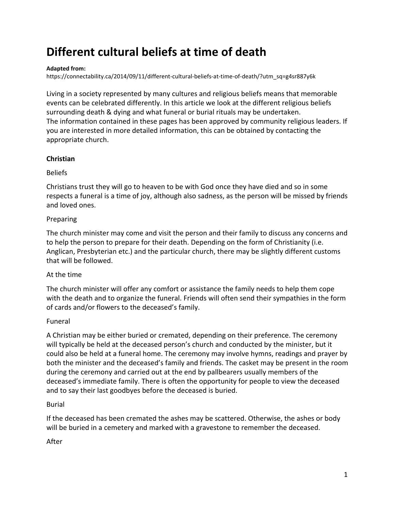# **Different cultural beliefs at time of death**

#### **Adapted from:**

[https://connectability.ca/2014/09/11/different-cultural-beliefs-at-time-of-death/?utm\\_sq=g4sr887y6k](https://connectability.ca/2014/09/11/different-cultural-beliefs-at-time-of-death/?utm_sq=g4sr887y6k)

Living in a society represented by many cultures and religious beliefs means that memorable events can be celebrated differently. In this article we look at the different religious beliefs surrounding death & dying and what funeral or burial rituals may be undertaken. The information contained in these pages has been approved by community religious leaders. If you are interested in more detailed information, this can be obtained by contacting the appropriate church.

#### **Christian**

#### Beliefs

Christians trust they will go to heaven to be with God once they have died and so in some respects a funeral is a time of joy, although also sadness, as the person will be missed by friends and loved ones.

#### Preparing

The church minister may come and visit the person and their family to discuss any concerns and to help the person to prepare for their death. Depending on the form of Christianity (i.e. Anglican, Presbyterian etc.) and the particular church, there may be slightly different customs that will be followed.

## At the time

The church minister will offer any comfort or assistance the family needs to help them cope with the death and to organize the funeral. Friends will often send their sympathies in the form of cards and/or flowers to the deceased's family.

## Funeral

A Christian may be either buried or cremated, depending on their preference. The ceremony will typically be held at the deceased person's church and conducted by the minister, but it could also be held at a funeral home. The ceremony may involve hymns, readings and prayer by both the minister and the deceased's family and friends. The casket may be present in the room during the ceremony and carried out at the end by pallbearers usually members of the deceased's immediate family. There is often the opportunity for people to view the deceased and to say their last goodbyes before the deceased is buried.

#### Burial

If the deceased has been cremated the ashes may be scattered. Otherwise, the ashes or body will be buried in a cemetery and marked with a gravestone to remember the deceased.

## After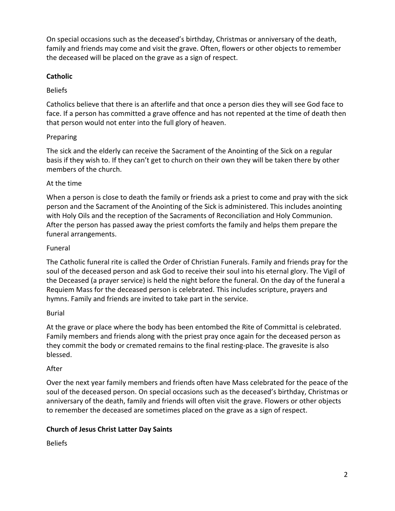On special occasions such as the deceased's birthday, Christmas or anniversary of the death, family and friends may come and visit the grave. Often, flowers or other objects to remember the deceased will be placed on the grave as a sign of respect.

# **Catholic**

## Beliefs

Catholics believe that there is an afterlife and that once a person dies they will see God face to face. If a person has committed a grave offence and has not repented at the time of death then that person would not enter into the full glory of heaven.

## Preparing

The sick and the elderly can receive the Sacrament of the Anointing of the Sick on a regular basis if they wish to. If they can't get to church on their own they will be taken there by other members of the church.

## At the time

When a person is close to death the family or friends ask a priest to come and pray with the sick person and the Sacrament of the Anointing of the Sick is administered. This includes anointing with Holy Oils and the reception of the Sacraments of Reconciliation and Holy Communion. After the person has passed away the priest comforts the family and helps them prepare the funeral arrangements.

## Funeral

The Catholic funeral rite is called the Order of Christian Funerals. Family and friends pray for the soul of the deceased person and ask God to receive their soul into his eternal glory. The Vigil of the Deceased (a prayer service) is held the night before the funeral. On the day of the funeral a Requiem Mass for the deceased person is celebrated. This includes scripture, prayers and hymns. Family and friends are invited to take part in the service.

## Burial

At the grave or place where the body has been entombed the Rite of Committal is celebrated. Family members and friends along with the priest pray once again for the deceased person as they commit the body or cremated remains to the final resting-place. The gravesite is also blessed.

## After

Over the next year family members and friends often have Mass celebrated for the peace of the soul of the deceased person. On special occasions such as the deceased's birthday, Christmas or anniversary of the death, family and friends will often visit the grave. Flowers or other objects to remember the deceased are sometimes placed on the grave as a sign of respect.

# **Church of Jesus Christ Latter Day Saints**

Beliefs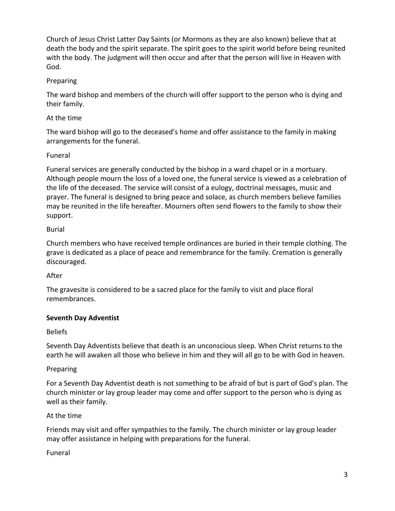Church of Jesus Christ Latter Day Saints (or Mormons as they are also known) believe that at death the body and the spirit separate. The spirit goes to the spirit world before being reunited with the body. The judgment will then occur and after that the person will live in Heaven with God.

## Preparing

The ward bishop and members of the church will offer support to the person who is dying and their family.

# At the time

The ward bishop will go to the deceased's home and offer assistance to the family in making arrangements for the funeral.

# Funeral

Funeral services are generally conducted by the bishop in a ward chapel or in a mortuary. Although people mourn the loss of a loved one, the funeral service is viewed as a celebration of the life of the deceased. The service will consist of a eulogy, doctrinal messages, music and prayer. The funeral is designed to bring peace and solace, as church members believe families may be reunited in the life hereafter. Mourners often send flowers to the family to show their support.

# Burial

Church members who have received temple ordinances are buried in their temple clothing. The grave is dedicated as a place of peace and remembrance for the family. Cremation is generally discouraged.

# After

The gravesite is considered to be a sacred place for the family to visit and place floral remembrances.

## **Seventh Day Adventist**

## Beliefs

Seventh Day Adventists believe that death is an unconscious sleep. When Christ returns to the earth he will awaken all those who believe in him and they will all go to be with God in heaven.

# Preparing

For a Seventh Day Adventist death is not something to be afraid of but is part of God's plan. The church minister or lay group leader may come and offer support to the person who is dying as well as their family.

## At the time

Friends may visit and offer sympathies to the family. The church minister or lay group leader may offer assistance in helping with preparations for the funeral.

## Funeral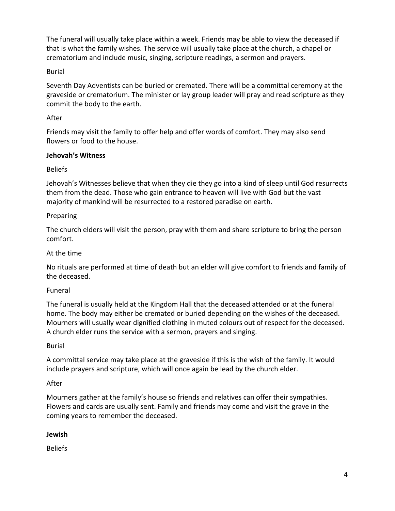The funeral will usually take place within a week. Friends may be able to view the deceased if that is what the family wishes. The service will usually take place at the church, a chapel or crematorium and include music, singing, scripture readings, a sermon and prayers.

#### Burial

Seventh Day Adventists can be buried or cremated. There will be a committal ceremony at the graveside or crematorium. The minister or lay group leader will pray and read scripture as they commit the body to the earth.

#### After

Friends may visit the family to offer help and offer words of comfort. They may also send flowers or food to the house.

#### **Jehovah's Witness**

## Beliefs

Jehovah's Witnesses believe that when they die they go into a kind of sleep until God resurrects them from the dead. Those who gain entrance to heaven will live with God but the vast majority of mankind will be resurrected to a restored paradise on earth.

#### Preparing

The church elders will visit the person, pray with them and share scripture to bring the person comfort.

#### At the time

No rituals are performed at time of death but an elder will give comfort to friends and family of the deceased.

#### Funeral

The funeral is usually held at the Kingdom Hall that the deceased attended or at the funeral home. The body may either be cremated or buried depending on the wishes of the deceased. Mourners will usually wear dignified clothing in muted colours out of respect for the deceased. A church elder runs the service with a sermon, prayers and singing.

#### Burial

A committal service may take place at the graveside if this is the wish of the family. It would include prayers and scripture, which will once again be lead by the church elder.

## After

Mourners gather at the family's house so friends and relatives can offer their sympathies. Flowers and cards are usually sent. Family and friends may come and visit the grave in the coming years to remember the deceased.

#### **Jewish**

Beliefs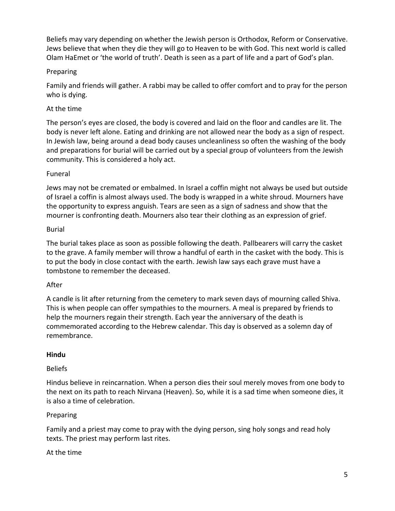Beliefs may vary depending on whether the Jewish person is Orthodox, Reform or Conservative. Jews believe that when they die they will go to Heaven to be with God. This next world is called Olam HaEmet or 'the world of truth'. Death is seen as a part of life and a part of God's plan.

## Preparing

Family and friends will gather. A rabbi may be called to offer comfort and to pray for the person who is dying.

## At the time

The person's eyes are closed, the body is covered and laid on the floor and candles are lit. The body is never left alone. Eating and drinking are not allowed near the body as a sign of respect. In Jewish law, being around a dead body causes uncleanliness so often the washing of the body and preparations for burial will be carried out by a special group of volunteers from the Jewish community. This is considered a holy act.

## Funeral

Jews may not be cremated or embalmed. In Israel a coffin might not always be used but outside of Israel a coffin is almost always used. The body is wrapped in a white shroud. Mourners have the opportunity to express anguish. Tears are seen as a sign of sadness and show that the mourner is confronting death. Mourners also tear their clothing as an expression of grief.

## Burial

The burial takes place as soon as possible following the death. Pallbearers will carry the casket to the grave. A family member will throw a handful of earth in the casket with the body. This is to put the body in close contact with the earth. Jewish law says each grave must have a tombstone to remember the deceased.

## After

A candle is lit after returning from the cemetery to mark seven days of mourning called Shiva. This is when people can offer sympathies to the mourners. A meal is prepared by friends to help the mourners regain their strength. Each year the anniversary of the death is commemorated according to the Hebrew calendar. This day is observed as a solemn day of remembrance.

## **Hindu**

# Beliefs

Hindus believe in reincarnation. When a person dies their soul merely moves from one body to the next on its path to reach Nirvana (Heaven). So, while it is a sad time when someone dies, it is also a time of celebration.

# Preparing

Family and a priest may come to pray with the dying person, sing holy songs and read holy texts. The priest may perform last rites.

At the time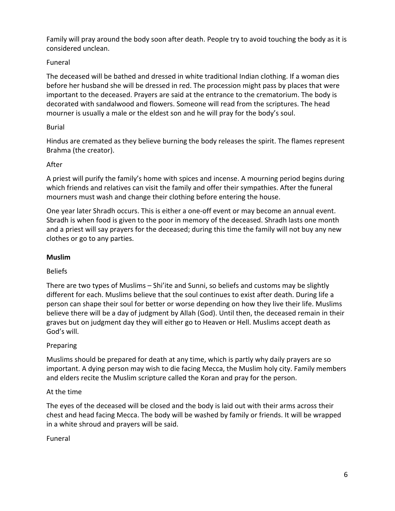Family will pray around the body soon after death. People try to avoid touching the body as it is considered unclean.

# Funeral

The deceased will be bathed and dressed in white traditional Indian clothing. If a woman dies before her husband she will be dressed in red. The procession might pass by places that were important to the deceased. Prayers are said at the entrance to the crematorium. The body is decorated with sandalwood and flowers. Someone will read from the scriptures. The head mourner is usually a male or the eldest son and he will pray for the body's soul.

# Burial

Hindus are cremated as they believe burning the body releases the spirit. The flames represent Brahma (the creator).

## After

A priest will purify the family's home with spices and incense. A mourning period begins during which friends and relatives can visit the family and offer their sympathies. After the funeral mourners must wash and change their clothing before entering the house.

One year later Shradh occurs. This is either a one-off event or may become an annual event. Sbradh is when food is given to the poor in memory of the deceased. Shradh lasts one month and a priest will say prayers for the deceased; during this time the family will not buy any new clothes or go to any parties.

# **Muslim**

# Beliefs

There are two types of Muslims – Shi'ite and Sunni, so beliefs and customs may be slightly different for each. Muslims believe that the soul continues to exist after death. During life a person can shape their soul for better or worse depending on how they live their life. Muslims believe there will be a day of judgment by Allah (God). Until then, the deceased remain in their graves but on judgment day they will either go to Heaven or Hell. Muslims accept death as God's will.

# **Preparing**

Muslims should be prepared for death at any time, which is partly why daily prayers are so important. A dying person may wish to die facing Mecca, the Muslim holy city. Family members and elders recite the Muslim scripture called the Koran and pray for the person.

# At the time

The eyes of the deceased will be closed and the body is laid out with their arms across their chest and head facing Mecca. The body will be washed by family or friends. It will be wrapped in a white shroud and prayers will be said.

Funeral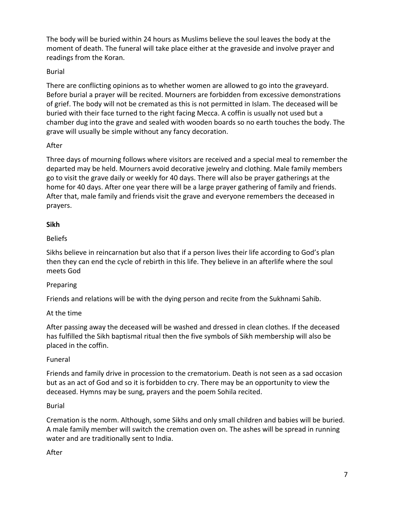The body will be buried within 24 hours as Muslims believe the soul leaves the body at the moment of death. The funeral will take place either at the graveside and involve prayer and readings from the Koran.

## Burial

There are conflicting opinions as to whether women are allowed to go into the graveyard. Before burial a prayer will be recited. Mourners are forbidden from excessive demonstrations of grief. The body will not be cremated as this is not permitted in Islam. The deceased will be buried with their face turned to the right facing Mecca. A coffin is usually not used but a chamber dug into the grave and sealed with wooden boards so no earth touches the body. The grave will usually be simple without any fancy decoration.

## After

Three days of mourning follows where visitors are received and a special meal to remember the departed may be held. Mourners avoid decorative jewelry and clothing. Male family members go to visit the grave daily or weekly for 40 days. There will also be prayer gatherings at the home for 40 days. After one year there will be a large prayer gathering of family and friends. After that, male family and friends visit the grave and everyone remembers the deceased in prayers.

#### **Sikh**

## Beliefs

Sikhs believe in reincarnation but also that if a person lives their life according to God's plan then they can end the cycle of rebirth in this life. They believe in an afterlife where the soul meets God

## Preparing

Friends and relations will be with the dying person and recite from the Sukhnami Sahib.

#### At the time

After passing away the deceased will be washed and dressed in clean clothes. If the deceased has fulfilled the Sikh baptismal ritual then the five symbols of Sikh membership will also be placed in the coffin.

#### Funeral

Friends and family drive in procession to the crematorium. Death is not seen as a sad occasion but as an act of God and so it is forbidden to cry. There may be an opportunity to view the deceased. Hymns may be sung, prayers and the poem Sohila recited.

#### Burial

Cremation is the norm. Although, some Sikhs and only small children and babies will be buried. A male family member will switch the cremation oven on. The ashes will be spread in running water and are traditionally sent to India.

## After